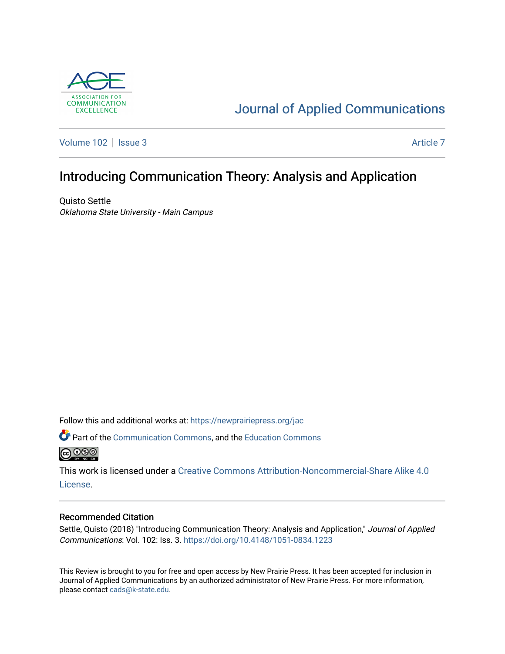

# [Journal of Applied Communications](https://newprairiepress.org/jac)

[Volume 102](https://newprairiepress.org/jac/vol102) | [Issue 3](https://newprairiepress.org/jac/vol102/iss3) [Article 7](https://newprairiepress.org/jac/vol102/iss3/7) Article 7

# Introducing Communication Theory: Analysis and Application

Quisto Settle Oklahoma State University - Main Campus

Follow this and additional works at: [https://newprairiepress.org/jac](https://newprairiepress.org/jac?utm_source=newprairiepress.org%2Fjac%2Fvol102%2Fiss3%2F7&utm_medium=PDF&utm_campaign=PDFCoverPages)

Part of the [Communication Commons,](http://network.bepress.com/hgg/discipline/325?utm_source=newprairiepress.org%2Fjac%2Fvol102%2Fiss3%2F7&utm_medium=PDF&utm_campaign=PDFCoverPages) and the [Education Commons](http://network.bepress.com/hgg/discipline/784?utm_source=newprairiepress.org%2Fjac%2Fvol102%2Fiss3%2F7&utm_medium=PDF&utm_campaign=PDFCoverPages)  **@** 00

This work is licensed under a [Creative Commons Attribution-Noncommercial-Share Alike 4.0](https://creativecommons.org/licenses/by-nc-sa/4.0/) [License.](https://creativecommons.org/licenses/by-nc-sa/4.0/)

### Recommended Citation

Settle, Quisto (2018) "Introducing Communication Theory: Analysis and Application," Journal of Applied Communications: Vol. 102: Iss. 3. <https://doi.org/10.4148/1051-0834.1223>

This Review is brought to you for free and open access by New Prairie Press. It has been accepted for inclusion in Journal of Applied Communications by an authorized administrator of New Prairie Press. For more information, please contact [cads@k-state.edu.](mailto:cads@k-state.edu)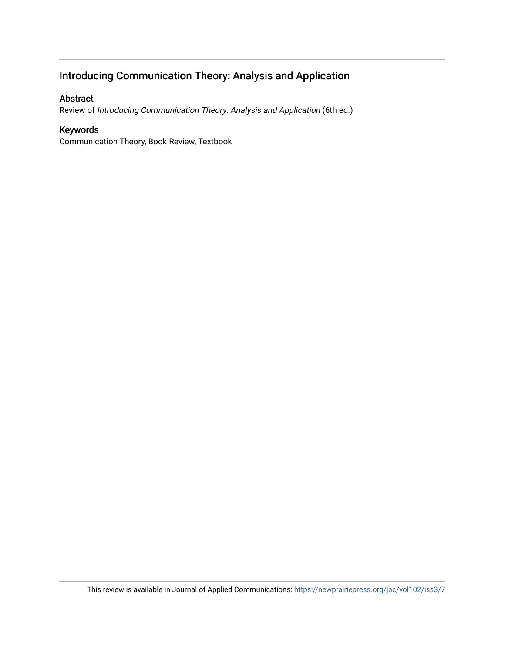# Introducing Communication Theory: Analysis and Application

### Abstract

Review of Introducing Communication Theory: Analysis and Application (6th ed.)

## Keywords

Communication Theory, Book Review, Textbook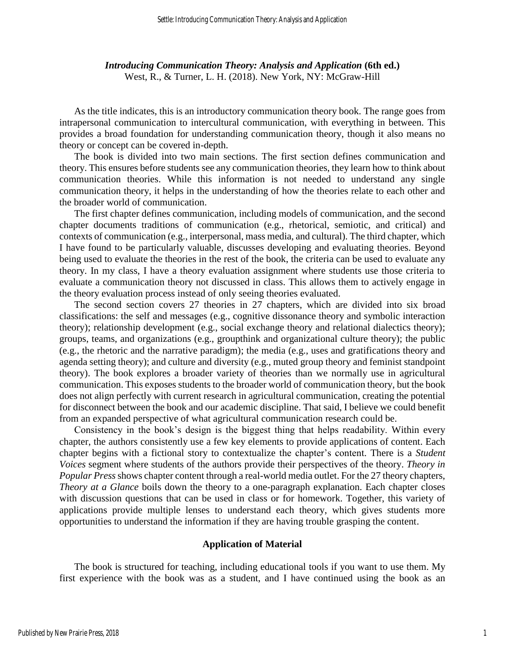*Introducing Communication Theory: Analysis and Application* **(6th ed.)** West, R., & Turner, L. H. (2018). New York, NY: McGraw-Hill

As the title indicates, this is an introductory communication theory book. The range goes from intrapersonal communication to intercultural communication, with everything in between. This provides a broad foundation for understanding communication theory, though it also means no theory or concept can be covered in-depth.

The book is divided into two main sections. The first section defines communication and theory. This ensures before students see any communication theories, they learn how to think about communication theories. While this information is not needed to understand any single communication theory, it helps in the understanding of how the theories relate to each other and the broader world of communication.

The first chapter defines communication, including models of communication, and the second chapter documents traditions of communication (e.g., rhetorical, semiotic, and critical) and contexts of communication (e.g., interpersonal, mass media, and cultural). The third chapter, which I have found to be particularly valuable, discusses developing and evaluating theories. Beyond being used to evaluate the theories in the rest of the book, the criteria can be used to evaluate any theory. In my class, I have a theory evaluation assignment where students use those criteria to evaluate a communication theory not discussed in class. This allows them to actively engage in the theory evaluation process instead of only seeing theories evaluated.

The second section covers 27 theories in 27 chapters, which are divided into six broad classifications: the self and messages (e.g., cognitive dissonance theory and symbolic interaction theory); relationship development (e.g., social exchange theory and relational dialectics theory); groups, teams, and organizations (e.g., groupthink and organizational culture theory); the public (e.g., the rhetoric and the narrative paradigm); the media (e.g., uses and gratifications theory and agenda setting theory); and culture and diversity (e.g., muted group theory and feminist standpoint theory). The book explores a broader variety of theories than we normally use in agricultural communication. This exposes students to the broader world of communication theory, but the book does not align perfectly with current research in agricultural communication, creating the potential for disconnect between the book and our academic discipline. That said, I believe we could benefit from an expanded perspective of what agricultural communication research could be.

Consistency in the book's design is the biggest thing that helps readability. Within every chapter, the authors consistently use a few key elements to provide applications of content. Each chapter begins with a fictional story to contextualize the chapter's content. There is a *Student Voices* segment where students of the authors provide their perspectives of the theory. *Theory in Popular Press*shows chapter content through a real-world media outlet. For the 27 theory chapters, *Theory at a Glance* boils down the theory to a one-paragraph explanation. Each chapter closes with discussion questions that can be used in class or for homework. Together, this variety of applications provide multiple lenses to understand each theory, which gives students more opportunities to understand the information if they are having trouble grasping the content.

#### **Application of Material**

The book is structured for teaching, including educational tools if you want to use them. My first experience with the book was as a student, and I have continued using the book as an